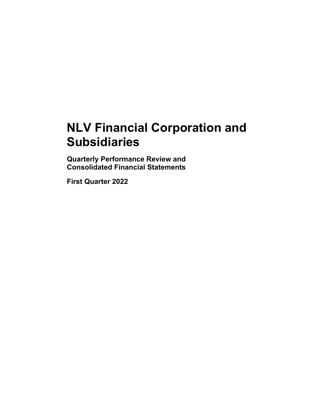# **NLV Financial Corporation and Subsidiaries**

**Quarterly Performance Review and Consolidated Financial Statements** 

**First Quarter 2022**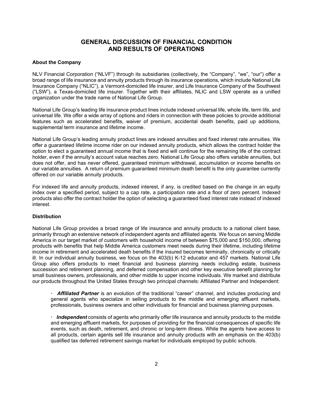# **GENERAL DISCUSSION OF FINANCIAL CONDITION AND RESULTS OF OPERATIONS**

## **About the Company**

NLV Financial Corporation ("NLVF") through its subsidiaries (collectively, the "Company", "we", "our") offer a broad range of life insurance and annuity products through its insurance operations, which include National Life Insurance Company ("NLIC"), a Vermont-domiciled life insurer, and Life Insurance Company of the Southwest ("LSW"), a Texas-domiciled life insurer. Together with their affiliates, NLIC and LSW operate as a unified organization under the trade name of National Life Group.

National Life Group's leading life insurance product lines include indexed universal life, whole life, term life, and universal life. We offer a wide array of options and riders in connection with these policies to provide additional features such as accelerated benefits, waiver of premium, accidental death benefits, paid up additions, supplemental term insurance and lifetime income.

National Life Group's leading annuity product lines are indexed annuities and fixed interest rate annuities. We offer a guaranteed lifetime income rider on our indexed annuity products, which allows the contract holder the option to elect a guaranteed annual income that is fixed and will continue for the remaining life of the contract holder, even if the annuity's account value reaches zero. National Life Group also offers variable annuities, but does not offer, and has never offered, guaranteed minimum withdrawal, accumulation or income benefits on our variable annuities. A return of premium guaranteed minimum death benefit is the only guarantee currently offered on our variable annuity products.

For indexed life and annuity products, indexed interest, if any, is credited based on the change in an equity index over a specified period, subject to a cap rate, a participation rate and a floor of zero percent. Indexed products also offer the contract holder the option of selecting a guaranteed fixed interest rate instead of indexed interest.

# **Distribution**

National Life Group provides a broad range of life insurance and annuity products to a national client base, primarily through an extensive network of independent agents and affiliated agents. We focus on serving Middle America in our target market of customers with household income of between \$75,000 and \$150,000, offering products with benefits that help Middle America customers meet needs during their lifetime, including lifetime income in retirement and accelerated death benefits if the insured becomes terminally, chronically or critically ill. In our individual annuity business, we focus on the 403(b) K-12 educator and 457 markets. National Life Group also offers products to meet financial and business planning needs including estate, business succession and retirement planning, and deferred compensation and other key executive benefit planning for small business owners, professionals, and other middle to upper income individuals. We market and distribute our products throughout the United States through two principal channels: Affiliated Partner and Independent:

**ꞏ** *Affiliated Partner* is an evolution of the traditional "career" channel, and includes producing and general agents who specialize in selling products to the middle and emerging affluent markets, professionals, business owners and other individuals for financial and business planning purposes.

**ꞏ** *Independent* consists of agents who primarily offer life insurance and annuity products to the middle and emerging affluent markets, for purposes of providing for the financial consequences of specific life events, such as death, retirement, and chronic or long-term illness. While the agents have access to all products, certain agents sell life insurance and annuity products with an emphasis on the 403(b) qualified tax deferred retirement savings market for individuals employed by public schools.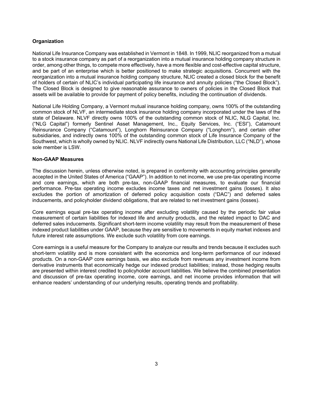## **Organization**

National Life Insurance Company was established in Vermont in 1848. In 1999, NLIC reorganized from a mutual to a stock insurance company as part of a reorganization into a mutual insurance holding company structure in order, among other things, to compete more effectively, have a more flexible and cost-effective capital structure, and be part of an enterprise which is better positioned to make strategic acquisitions. Concurrent with the reorganization into a mutual insurance holding company structure, NLIC created a closed block for the benefit of holders of certain of NLIC's individual participating life insurance and annuity policies ("the Closed Block"). The Closed Block is designed to give reasonable assurance to owners of policies in the Closed Block that assets will be available to provide for payment of policy benefits, including the continuation of dividends.

National Life Holding Company, a Vermont mutual insurance holding company, owns 100% of the outstanding common stock of NLVF, an intermediate stock insurance holding company incorporated under the laws of the state of Delaware. NLVF directly owns 100% of the outstanding common stock of NLIC, NLG Capital, Inc. ("NLG Capital") formerly Sentinel Asset Management, Inc., Equity Services, Inc. ("ESI"), Catamount Reinsurance Company ("Catamount"), Longhorn Reinsurance Company ("Longhorn"), and certain other subsidiaries, and indirectly owns 100% of the outstanding common stock of Life Insurance Company of the Southwest, which is wholly owned by NLIC. NLVF indirectly owns National Life Distribution, LLC ("NLD"), whose sole member is LSW.

## **Non-GAAP Measures**

The discussion herein, unless otherwise noted, is prepared in conformity with accounting principles generally accepted in the United States of America ("GAAP"). In addition to net income, we use pre-tax operating income and core earnings, which are both pre-tax, non-GAAP financial measures, to evaluate our financial performance. Pre-tax operating income excludes income taxes and net investment gains (losses). It also excludes the portion of amortization of deferred policy acquisition costs ("DAC") and deferred sales inducements, and policyholder dividend obligations, that are related to net investment gains (losses).

Core earnings equal pre-tax operating income after excluding volatility caused by the periodic fair value measurement of certain liabilities for indexed life and annuity products, and the related impact to DAC and deferred sales inducements. Significant short-term income volatility may result from the measurement of these indexed product liabilities under GAAP, because they are sensitive to movements in equity market indexes and future interest rate assumptions. We exclude such volatility from core earnings.

Core earnings is a useful measure for the Company to analyze our results and trends because it excludes such short-term volatility and is more consistent with the economics and long-term performance of our indexed products. On a non-GAAP core earnings basis, we also exclude from revenues any investment income from derivative instruments that economically hedge our indexed product liabilities; instead, those hedging results are presented within interest credited to policyholder account liabilities. We believe the combined presentation and discussion of pre-tax operating income, core earnings, and net income provides information that will enhance readers' understanding of our underlying results, operating trends and profitability.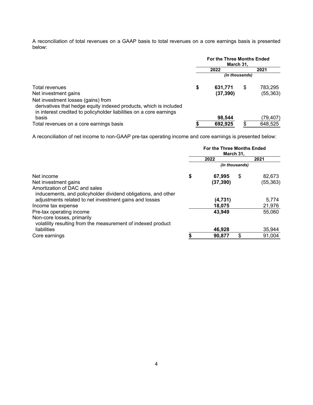A reconciliation of total revenues on a GAAP basis to total revenues on a core earnings basis is presented below:

|                                                                     | <b>For the Three Months Ended</b><br>March 31, |           |                |           |  |
|---------------------------------------------------------------------|------------------------------------------------|-----------|----------------|-----------|--|
|                                                                     |                                                | 2022      |                | 2021      |  |
|                                                                     |                                                |           | (in thousands) |           |  |
| Total revenues                                                      | \$                                             | 631.771   | \$             | 783,295   |  |
| Net investment gains                                                |                                                | (37, 390) |                | (55, 363) |  |
| Net investment losses (gains) from                                  |                                                |           |                |           |  |
| derivatives that hedge equity indexed products, which is included   |                                                |           |                |           |  |
| in interest credited to policyholder liabilities on a core earnings |                                                |           |                |           |  |
| basis                                                               |                                                | 98.544    |                | (79,407)  |  |
| Total revenues on a core earnings basis                             |                                                | 692.925   | \$             | 648,525   |  |

A reconciliation of net income to non-GAAP pre-tax operating income and core earnings is presented below:

|                                                               | <b>For the Three Months Ended</b><br>March 31, |           |                |           |  |  |
|---------------------------------------------------------------|------------------------------------------------|-----------|----------------|-----------|--|--|
|                                                               |                                                | 2022      |                | 2021      |  |  |
|                                                               |                                                |           | (in thousands) |           |  |  |
| Net income                                                    | \$                                             | 67,995    | \$             | 82,673    |  |  |
| Net investment gains                                          |                                                | (37, 390) |                | (55, 363) |  |  |
| Amortization of DAC and sales                                 |                                                |           |                |           |  |  |
| inducements, and policyholder dividend obligations, and other |                                                |           |                |           |  |  |
| adjustments related to net investment gains and losses        |                                                | (4,731)   |                | 5,774     |  |  |
| Income tax expense                                            |                                                | 18,075    |                | 21,976    |  |  |
| Pre-tax operating income                                      |                                                | 43,949    |                | 55,060    |  |  |
| Non-core losses, primarily                                    |                                                |           |                |           |  |  |
| volatility resulting from the measurement of indexed product  |                                                |           |                |           |  |  |
| liabilities                                                   |                                                | 46,928    |                | 35,944    |  |  |
| Core earnings                                                 |                                                | 90,877    | \$             | 91,004    |  |  |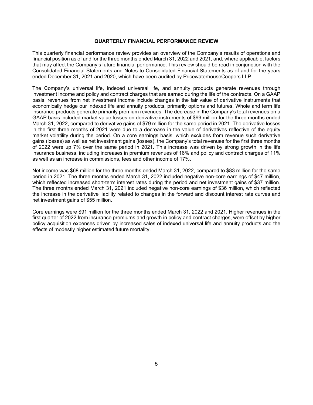#### **QUARTERLY FINANCIAL PERFORMANCE REVIEW**

This quarterly financial performance review provides an overview of the Company's results of operations and financial position as of and for the three months ended March 31, 2022 and 2021, and, where applicable, factors that may affect the Company's future financial performance. This review should be read in conjunction with the Consolidated Financial Statements and Notes to Consolidated Financial Statements as of and for the years ended December 31, 2021 and 2020, which have been audited by PricewaterhouseCoopers LLP.

The Company's universal life, indexed universal life, and annuity products generate revenues through investment income and policy and contract charges that are earned during the life of the contracts. On a GAAP basis, revenues from net investment income include changes in the fair value of derivative instruments that economically hedge our indexed life and annuity products, primarily options and futures. Whole and term life insurance products generate primarily premium revenues. The decrease in the Company's total revenues on a GAAP basis included market value losses on derivative instruments of \$99 million for the three months ended March 31, 2022, compared to derivative gains of \$79 million for the same period in 2021. The derivative losses in the first three months of 2021 were due to a decrease in the value of derivatives reflective of the equity market volatility during the period. On a core earnings basis, which excludes from revenue such derivative gains (losses) as well as net investment gains (losses), the Company's total revenues for the first three months of 2022 were up 7% over the same period in 2021. This increase was driven by strong growth in the life insurance business, including increases in premium revenues of 16% and policy and contract charges of 11% as well as an increase in commissions, fees and other income of 17%.

Net income was \$68 million for the three months ended March 31, 2022, compared to \$83 million for the same period in 2021. The three months ended March 31, 2022 included negative non-core earnings of \$47 million, which reflected increased short-term interest rates during the period and net investment gains of \$37 million. The three months ended March 31, 2021 included negative non-core earnings of \$36 million, which reflected the increase in the derivative liability related to changes in the forward and discount interest rate curves and net investment gains of \$55 million.

Core earnings were \$91 million for the three months ended March 31, 2022 and 2021. Higher revenues in the first quarter of 2022 from insurance premiums and growth in policy and contract charges, were offset by higher policy acquisition expenses driven by increased sales of indexed universal life and annuity products and the effects of modestly higher estimated future mortality.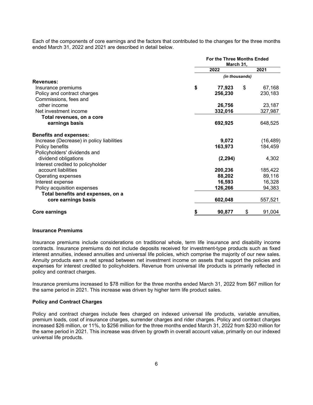Each of the components of core earnings and the factors that contributed to the changes for the three months ended March 31, 2022 and 2021 are described in detail below.

|                                           | <b>For the Three Months Ended</b><br>March 31, |    |           |  |  |
|-------------------------------------------|------------------------------------------------|----|-----------|--|--|
|                                           | 2022                                           |    | 2021      |  |  |
|                                           | (in thousands)                                 |    |           |  |  |
| <b>Revenues:</b>                          |                                                |    |           |  |  |
| Insurance premiums                        | \$<br>77,923                                   | \$ | 67,168    |  |  |
| Policy and contract charges               | 256,230                                        |    | 230,183   |  |  |
| Commissions, fees and                     |                                                |    |           |  |  |
| other income                              | 26,756                                         |    | 23,187    |  |  |
| Net investment income                     | 332,016                                        |    | 327,987   |  |  |
| Total revenues, on a core                 |                                                |    |           |  |  |
| earnings basis                            | 692,925                                        |    | 648,525   |  |  |
| <b>Benefits and expenses:</b>             |                                                |    |           |  |  |
| Increase (Decrease) in policy liabilities | 9,072                                          |    | (16, 489) |  |  |
| Policy benefits                           | 163,973                                        |    | 184,459   |  |  |
| Policyholders' dividends and              |                                                |    |           |  |  |
| dividend obligations                      | (2, 294)                                       |    | 4,302     |  |  |
| Interest credited to policyholder         |                                                |    |           |  |  |
| account liabilities                       | 200,236                                        |    | 185,422   |  |  |
| Operating expenses                        | 88,202                                         |    | 89,116    |  |  |
| Interest expense                          | 16,593                                         |    | 16,328    |  |  |
| Policy acquisition expenses               | 126,266                                        |    | 94,383    |  |  |
| Total benefits and expenses, on a         |                                                |    |           |  |  |
| core earnings basis                       | 602,048                                        |    | 557,521   |  |  |
| Core earnings                             | \$<br>90,877                                   | \$ | 91,004    |  |  |

#### **Insurance Premiums**

Insurance premiums include considerations on traditional whole, term life insurance and disability income contracts. Insurance premiums do not include deposits received for investment-type products such as fixed interest annuities, indexed annuities and universal life policies, which comprise the majority of our new sales. Annuity products earn a net spread between net investment income on assets that support the policies and expenses for interest credited to policyholders. Revenue from universal life products is primarily reflected in policy and contract charges.

Insurance premiums increased to \$78 million for the three months ended March 31, 2022 from \$67 million for the same period in 2021. This increase was driven by higher term life product sales.

#### **Policy and Contract Charges**

Policy and contract charges include fees charged on indexed universal life products, variable annuities, premium loads, cost of insurance charges, surrender charges and rider charges. Policy and contract charges increased \$26 million, or 11%, to \$256 million for the three months ended March 31, 2022 from \$230 million for the same period in 2021. This increase was driven by growth in overall account value, primarily on our indexed universal life products.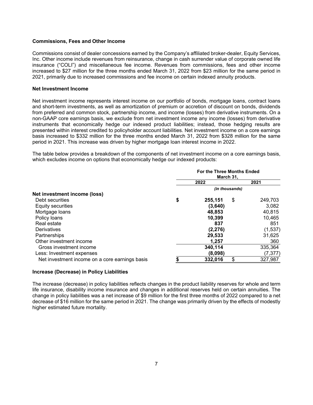#### **Commissions, Fees and Other Income**

Commissions consist of dealer concessions earned by the Company's affiliated broker-dealer, Equity Services, Inc. Other income include revenues from reinsurance, change in cash surrender value of corporate owned life insurance ("COLI") and miscellaneous fee income. Revenues from commissions, fees and other income increased to \$27 million for the three months ended March 31, 2022 from \$23 million for the same period in 2021, primarily due to increased commissions and fee income on certain indexed annuity products.

#### **Net Investment Income**

Net investment income represents interest income on our portfolio of bonds, mortgage loans, contract loans and short-term investments, as well as amortization of premium or accretion of discount on bonds, dividends from preferred and common stock, partnership income, and income (losses) from derivative instruments. On a non-GAAP core earnings basis, we exclude from net investment income any income (losses) from derivative instruments that economically hedge our indexed product liabilities; instead, those hedging results are presented within interest credited to policyholder account liabilities. Net investment income on a core earnings basis increased to \$332 million for the three months ended March 31, 2022 from \$328 million for the same period in 2021. This increase was driven by higher mortgage loan interest income in 2022.

The table below provides a breakdown of the components of net investment income on a core earnings basis, which excludes income on options that economically hedge our indexed products:

|                                                |                | <b>For the Three Months Ended</b><br>March 31, |    |          |  |  |  |  |
|------------------------------------------------|----------------|------------------------------------------------|----|----------|--|--|--|--|
|                                                |                | 2022                                           |    | 2021     |  |  |  |  |
|                                                | (in thousands) |                                                |    |          |  |  |  |  |
| Net investment income (loss)                   |                |                                                |    |          |  |  |  |  |
| Debt securities                                | \$             | 255,151                                        | \$ | 249.703  |  |  |  |  |
| Equity securities                              |                | (3,640)                                        |    | 3,082    |  |  |  |  |
| Mortgage loans                                 |                | 48,853                                         |    | 40,815   |  |  |  |  |
| Policy loans                                   |                | 10,399                                         |    | 10,465   |  |  |  |  |
| Real estate                                    |                | 837                                            |    | 851      |  |  |  |  |
| <b>Derivatives</b>                             |                | (2, 276)                                       |    | (1,537)  |  |  |  |  |
| Partnerships                                   |                | 29,533                                         |    | 31,625   |  |  |  |  |
| Other investment income                        |                | 1,257                                          |    | 360      |  |  |  |  |
| Gross investment income                        |                | 340,114                                        |    | 335,364  |  |  |  |  |
| Less: Investment expenses                      |                | (8,098)                                        |    | (7, 377) |  |  |  |  |
| Net investment income on a core earnings basis |                | 332,016                                        | \$ | 327,987  |  |  |  |  |

#### **Increase (Decrease) in Policy Liabilities**

The increase (decrease) in policy liabilities reflects changes in the product liability reserves for whole and term life insurance, disability income insurance and changes in additional reserves held on certain annuities. The change in policy liabilities was a net increase of \$9 million for the first three months of 2022 compared to a net decrease of \$16 million for the same period in 2021. The change was primarily driven by the effects of modestly higher estimated future mortality.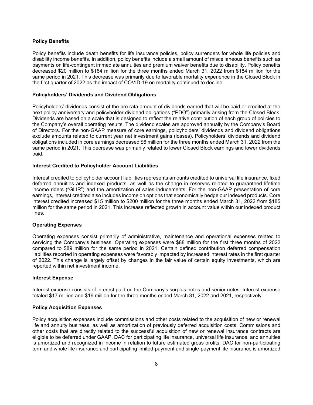#### **Policy Benefits**

Policy benefits include death benefits for life insurance policies, policy surrenders for whole life policies and disability income benefits. In addition, policy benefits include a small amount of miscellaneous benefits such as payments on life-contingent immediate annuities and premium waiver benefits due to disability. Policy benefits decreased \$20 million to \$164 million for the three months ended March 31, 2022 from \$184 million for the same period in 2021. This decrease was primarily due to favorable mortality experience in the Closed Block in the first quarter of 2022 as the impact of COVID-19 on mortality continued to decline.

#### **Policyholders' Dividends and Dividend Obligations**

Policyholders' dividends consist of the pro rata amount of dividends earned that will be paid or credited at the next policy anniversary and policyholder dividend obligations ("PDO") primarily arising from the Closed Block. Dividends are based on a scale that is designed to reflect the relative contribution of each group of policies to the Company's overall operating results. The dividend scales are approved annually by the Company's Board of Directors. For the non-GAAP measure of core earnings, policyholders' dividends and dividend obligations exclude amounts related to current year net investment gains (losses). Policyholders' dividends and dividend obligations included in core earnings decreased \$6 million for the three months ended March 31, 2022 from the same period in 2021. This decrease was primarily related to lower Closed Block earnings and lower dividends paid.

## **Interest Credited to Policyholder Account Liabilities**

Interest credited to policyholder account liabilities represents amounts credited to universal life insurance, fixed deferred annuities and indexed products, as well as the change in reserves related to guaranteed lifetime income riders ("GLIR") and the amortization of sales inducements. For the non-GAAP presentation of core earnings, interest credited also includes income on options that economically hedge our indexed products. Core interest credited increased \$15 million to \$200 million for the three months ended March 31, 2022 from \$185 million for the same period in 2021. This increase reflected growth in account value within our indexed product lines.

## **Operating Expenses**

Operating expenses consist primarily of administrative, maintenance and operational expenses related to servicing the Company's business. Operating expenses were \$88 million for the first three months of 2022 compared to \$89 million for the same period in 2021. Certain defined contribution deferred compensation liabilities reported in operating expenses were favorably impacted by increased interest rates in the first quarter of 2022. This change is largely offset by changes in the fair value of certain equity investments, which are reported within net investment income.

#### **Interest Expense**

Interest expense consists of interest paid on the Company's surplus notes and senior notes. Interest expense totaled \$17 million and \$16 million for the three months ended March 31, 2022 and 2021, respectively.

#### **Policy Acquisition Expenses**

Policy acquisition expenses include commissions and other costs related to the acquisition of new or renewal life and annuity business, as well as amortization of previously deferred acquisition costs. Commissions and other costs that are directly related to the successful acquisition of new or renewal insurance contracts are eligible to be deferred under GAAP. DAC for participating life insurance, universal life insurance, and annuities is amortized and recognized in income in relation to future estimated gross profits. DAC for non-participating term and whole life insurance and participating limited-payment and single-payment life insurance is amortized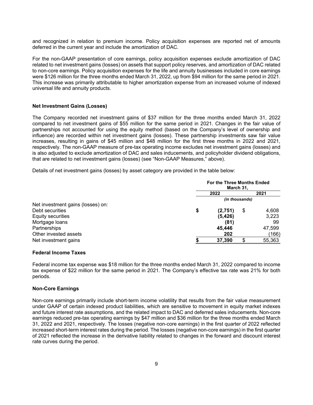and recognized in relation to premium income. Policy acquisition expenses are reported net of amounts deferred in the current year and include the amortization of DAC.

For the non-GAAP presentation of core earnings, policy acquisition expenses exclude amortization of DAC related to net investment gains (losses) on assets that support policy reserves, and amortization of DAC related to non-core earnings. Policy acquisition expenses for the life and annuity businesses included in core earnings were \$126 million for the three months ended March 31, 2022, up from \$94 million for the same period in 2021. This increase was primarily attributable to higher amortization expense from an increased volume of indexed universal life and annuity products.

#### **Net Investment Gains (Losses)**

The Company recorded net investment gains of \$37 million for the three months ended March 31, 2022 compared to net investment gains of \$55 million for the same period in 2021. Changes in the fair value of partnerships not accounted for using the equity method (based on the Company's level of ownership and influence) are recorded within net investment gains (losses). These partnership investments saw fair value increases, resulting in gains of \$45 million and \$48 million for the first three months in 2022 and 2021, respectively. The non-GAAP measure of pre-tax operating income excludes net investment gains (losses) and is also adjusted to exclude amortization of DAC and sales inducements, and policyholder dividend obligations, that are related to net investment gains (losses) (see "Non-GAAP Measures," above).

Details of net investment gains (losses) by asset category are provided in the table below:

|                                   | <b>For the Three Months Ended</b><br>March 31, |          |                |        |  |  |
|-----------------------------------|------------------------------------------------|----------|----------------|--------|--|--|
|                                   |                                                | 2022     |                | 2021   |  |  |
|                                   |                                                |          | (in thousands) |        |  |  |
| Net investment gains (losses) on: |                                                |          |                |        |  |  |
| Debt securities                   | \$                                             | (2,751)  | \$             | 4,608  |  |  |
| Equity securities                 |                                                | (5, 426) |                | 3,223  |  |  |
| Mortgage loans                    |                                                | (81)     |                | 99     |  |  |
| Partnerships                      |                                                | 45,446   |                | 47,599 |  |  |
| Other invested assets             |                                                | 202      |                | (166)  |  |  |
| Net investment gains              |                                                | 37,390   |                | 55,363 |  |  |

# **Federal Income Taxes**

Federal income tax expense was \$18 million for the three months ended March 31, 2022 compared to income tax expense of \$22 million for the same period in 2021. The Company's effective tax rate was 21% for both periods.

#### **Non-Core Earnings**

Non-core earnings primarily include short-term income volatility that results from the fair value measurement under GAAP of certain indexed product liabilities, which are sensitive to movement in equity market indexes and future interest rate assumptions, and the related impact to DAC and deferred sales inducements. Non-core earnings reduced pre-tax operating earnings by \$47 million and \$36 million for the three months ended March 31, 2022 and 2021, respectively. The losses (negative non-core earnings) in the first quarter of 2022 reflected increased short-term interest rates during the period. The losses (negative non-core earnings) in the first quarter of 2021 reflected the increase in the derivative liability related to changes in the forward and discount interest rate curves during the period.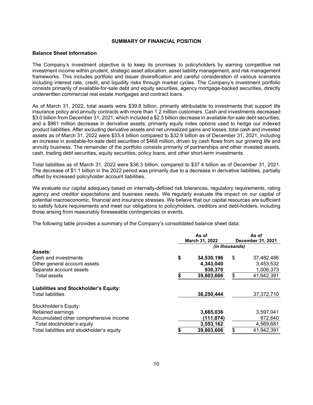#### **SUMMARY OF FINANCIAL POSITION**

#### **Balance Sheet Information**

The Company's investment objective is to keep its promises to policyholders by earning competitive net investment income within prudent, strategic asset allocation, asset liability management, and risk management frameworks. This includes portfolio and issuer diversification and careful consideration of various scenarios including interest rate, credit, and liquidity risks through market cycles. The Company's investment portfolio consists primarily of available-for-sale debt and equity securities, agency mortgage-backed securities, directly underwritten commercial real estate mortgages and contract loans.

As of March 31, 2022, total assets were \$39.8 billion, primarily attributable to investments that support life insurance policy and annuity contracts with more than 1.2 million customers. Cash and investments decreased \$3.0 billion from December 31, 2021, which included a \$2.5 billion decrease in available-for-sale debt securities, and a \$961 million decrease in derivative assets, primarily equity index options used to hedge our indexed product liabilities. After excluding derivative assets and net unrealized gains and losses, total cash and invested assets as of March 31, 2022 were \$33.4 billion compared to \$32.9 billion as of December 31, 2021, including an increase in available-for-sale debt securities of \$468 million, driven by cash flows from our growing life and annuity business. The remainder of the portfolio consists primarily of partnerships and other invested assets, cash, trading debt securities, equity securities, policy loans, and other short-term investments.

Total liabilities as of March 31, 2022 were \$36.3 billion, compared to \$37.4 billion as of December 31, 2021. The decrease of \$1.1 billion in the 2022 period was primarily due to a decrease in derivative liabilities, partially offset by increased policyholder account liabilities.

We evaluate our capital adequacy based on internally-defined risk tolerances, regulatory requirements, rating agency and creditor expectations and business needs. We regularly evaluate the impact on our capital of potential macroeconomic, financial and insurance stresses. We believe that our capital resources are sufficient to satisfy future requirements and meet our obligations to policyholders, creditors and debt-holders, including those arising from reasonably foreseeable contingencies or events.

The following table provides a summary of the Company's consolidated balance sheet data:

|                                              | As of<br>March 31, 2022 |            |                | As of<br>December 31, 2021 |
|----------------------------------------------|-------------------------|------------|----------------|----------------------------|
|                                              |                         |            | (in thousands) |                            |
| <b>Assets:</b>                               |                         |            |                |                            |
| Cash and investments                         | \$                      | 34,530,196 | \$             | 37,482,486                 |
| Other general account assets                 |                         | 4,343,040  |                | 3,453,532                  |
| Separate account assets                      |                         | 930,370    |                | 1,006,373                  |
| <b>Total assets</b>                          |                         | 39,803,606 | \$             | 41,942,391                 |
| <b>Liabilities and Stockholder's Equity:</b> |                         |            |                |                            |
| <b>Total liabilities</b>                     |                         | 36,250,444 |                | 37, 372, 710               |
| Stockholder's Equity:                        |                         |            |                |                            |
| Retained earnings                            |                         | 3,665,036  |                | 3,597,041                  |
| Accumulated other comprehensive income       |                         | (111, 874) |                | 972,640                    |
| Total stockholder's equity                   |                         | 3,553,162  |                | 4,569,681                  |
| Total liabilities and stockholder's equity   |                         | 39,803,606 | \$             | 41,942,391                 |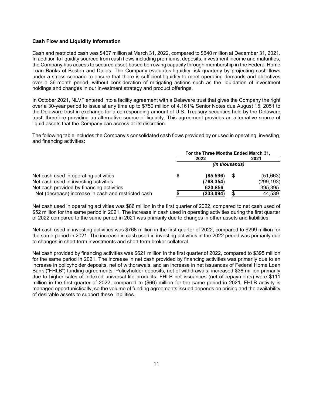#### **Cash Flow and Liquidity Information**

Cash and restricted cash was \$407 million at March 31, 2022, compared to \$640 million at December 31, 2021. In addition to liquidity sourced from cash flows including premiums, deposits, investment income and maturities, the Company has access to secured asset-based borrowing capacity through membership in the Federal Home Loan Banks of Boston and Dallas. The Company evaluates liquidity risk quarterly by projecting cash flows under a stress scenario to ensure that there is sufficient liquidity to meet operating demands and objectives over a 36-month period, without consideration of mitigating actions such as the liquidation of investment holdings and changes in our investment strategy and product offerings.

In October 2021, NLVF entered into a facility agreement with a Delaware trust that gives the Company the right over a 30-year period to issue at any time up to \$750 million of 4.161% Senior Notes due August 15, 2051 to the Delaware trust in exchange for a corresponding amount of U.S. Treasury securities held by the Delaware trust, therefore providing an alternative source of liquidity. This agreement provides an alternative source of liquid assets that the Company can access at its discretion.

The following table includes the Company's consolidated cash flows provided by or used in operating, investing, and financing activities:

|                                                     | For the Three Months Ended March 31, |                       |      |            |  |  |  |
|-----------------------------------------------------|--------------------------------------|-----------------------|------|------------|--|--|--|
|                                                     |                                      | 2022                  |      | 2021       |  |  |  |
|                                                     |                                      | <i>(in thousands)</i> |      |            |  |  |  |
| Net cash used in operating activities               | S                                    | (85, 596)             | - \$ | (51,663)   |  |  |  |
| Net cash used in investing activities               |                                      | (768, 354)            |      | (299, 193) |  |  |  |
| Net cash provided by financing activities           |                                      | 620,856               |      | 395,395    |  |  |  |
| Net (decrease) increase in cash and restricted cash |                                      | (233, 094)            |      | 44,539     |  |  |  |

Net cash used in operating activities was \$86 million in the first quarter of 2022, compared to net cash used of \$52 million for the same period in 2021. The increase in cash used in operating activities during the first quarter of 2022 compared to the same period in 2021 was primarily due to changes in other assets and liabilities.

Net cash used in investing activities was \$768 million in the first quarter of 2022, compared to \$299 million for the same period in 2021. The increase in cash used in investing activities in the 2022 period was primarily due to changes in short term investments and short term broker collateral.

Net cash provided by financing activities was \$621 million in the first quarter of 2022, compared to \$395 million for the same period in 2021. The increase in net cash provided by financing activities was primarily due to an increase in policyholder deposits, net of withdrawals, and an increase in net issuances of Federal Home Loan Bank ("FHLB") funding agreements. Policyholder deposits, net of withdrawals, increased \$38 million primarily due to higher sales of indexed universal life products. FHLB net issuances (net of repayments) were \$111 million in the first quarter of 2022, compared to (\$66) million for the same period in 2021. FHLB activity is managed opportunistically, so the volume of funding agreements issued depends on pricing and the availability of desirable assets to support these liabilities.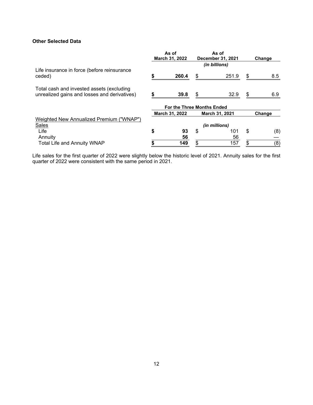# **Other Selected Data**

|                                                                                           | As of<br>March 31, 2022 |                                   |                |           | As of<br>December 31, 2021 | Change |
|-------------------------------------------------------------------------------------------|-------------------------|-----------------------------------|----------------|-----------|----------------------------|--------|
|                                                                                           |                         |                                   | (in billions)  |           |                            |        |
| Life insurance in force (before reinsurance<br>ceded)                                     |                         | 260.4                             | \$<br>251.9    | \$<br>8.5 |                            |        |
| Total cash and invested assets (excluding<br>unrealized gains and losses and derivatives) | S                       | 39.8                              | \$<br>32.9     | \$<br>6.9 |                            |        |
|                                                                                           |                         | <b>For the Three Months Ended</b> |                |           |                            |        |
|                                                                                           |                         | March 31, 2022                    | March 31, 2021 | Change    |                            |        |
| Weighted New Annualized Premium ("WNAP")                                                  |                         |                                   |                |           |                            |        |
| <b>Sales</b>                                                                              |                         |                                   | (in millions)  |           |                            |        |
| Life                                                                                      | \$                      | 93                                | \$<br>101      | \$<br>(8) |                            |        |
| Annuity                                                                                   |                         | 56                                | 56             |           |                            |        |
| <b>Total Life and Annuity WNAP</b>                                                        |                         | 149                               | \$<br>157      | \$<br>(8) |                            |        |

Life sales for the first quarter of 2022 were slightly below the historic level of 2021. Annuity sales for the first quarter of 2022 were consistent with the same period in 2021.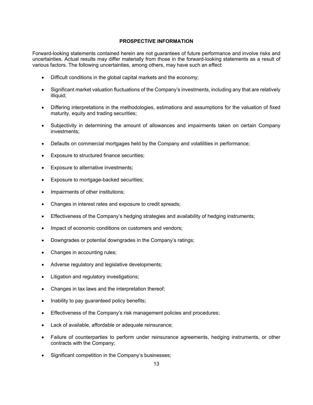## **PROSPECTIVE INFORMATION**

Forward-looking statements contained herein are not guarantees of future performance and involve risks and uncertainties. Actual results may differ materially from those in the forward-looking statements as a result of various factors. The following uncertainties, among others, may have such an effect:

- Difficult conditions in the global capital markets and the economy;
- Significant market valuation fluctuations of the Company's investments, including any that are relatively illiquid;
- Differing interpretations in the methodologies, estimations and assumptions for the valuation of fixed maturity, equity and trading securities;
- Subjectivity in determining the amount of allowances and impairments taken on certain Company investments;
- Defaults on commercial mortgages held by the Company and volatilities in performance;
- Exposure to structured finance securities;
- Exposure to alternative investments;
- Exposure to mortgage-backed securities;
- Impairments of other institutions;
- Changes in interest rates and exposure to credit spreads;
- Effectiveness of the Company's hedging strategies and availability of hedging instruments;
- Impact of economic conditions on customers and vendors;
- Downgrades or potential downgrades in the Company's ratings;
- Changes in accounting rules;
- Adverse regulatory and legislative developments;
- Litigation and regulatory investigations;
- Changes in tax laws and the interpretation thereof;
- Inability to pay guaranteed policy benefits;
- Effectiveness of the Company's risk management policies and procedures;
- Lack of available, affordable or adequate reinsurance;
- Failure of counterparties to perform under reinsurance agreements, hedging instruments, or other contracts with the Company;
- Significant competition in the Company's businesses;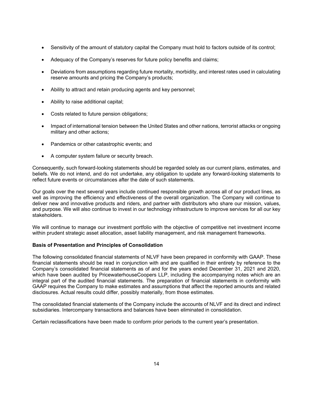- Sensitivity of the amount of statutory capital the Company must hold to factors outside of its control;
- Adequacy of the Company's reserves for future policy benefits and claims;
- Deviations from assumptions regarding future mortality, morbidity, and interest rates used in calculating reserve amounts and pricing the Company's products;
- Ability to attract and retain producing agents and key personnel;
- Ability to raise additional capital;
- Costs related to future pension obligations;
- Impact of international tension between the United States and other nations, terrorist attacks or ongoing military and other actions;
- Pandemics or other catastrophic events; and
- A computer system failure or security breach.

Consequently, such forward-looking statements should be regarded solely as our current plans, estimates, and beliefs. We do not intend, and do not undertake, any obligation to update any forward-looking statements to reflect future events or circumstances after the date of such statements.

Our goals over the next several years include continued responsible growth across all of our product lines, as well as improving the efficiency and effectiveness of the overall organization. The Company will continue to deliver new and innovative products and riders, and partner with distributors who share our mission, values, and purpose. We will also continue to invest in our technology infrastructure to improve services for all our key stakeholders.

We will continue to manage our investment portfolio with the objective of competitive net investment income within prudent strategic asset allocation, asset liability management, and risk management frameworks.

## **Basis of Presentation and Principles of Consolidation**

The following consolidated financial statements of NLVF have been prepared in conformity with GAAP. These financial statements should be read in conjunction with and are qualified in their entirety by reference to the Company's consolidated financial statements as of and for the years ended December 31, 2021 and 2020, which have been audited by PricewaterhouseCoopers LLP, including the accompanying notes which are an integral part of the audited financial statements. The preparation of financial statements in conformity with GAAP requires the Company to make estimates and assumptions that affect the reported amounts and related disclosures. Actual results could differ, possibly materially, from those estimates.

The consolidated financial statements of the Company include the accounts of NLVF and its direct and indirect subsidiaries. Intercompany transactions and balances have been eliminated in consolidation.

Certain reclassifications have been made to conform prior periods to the current year's presentation.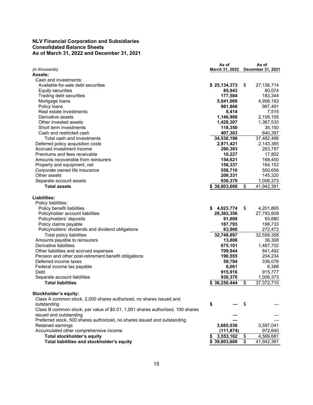# **NLV Financial Corporation and Subsidiaries Consolidated Balance Sheets As of March 31, 2022 and December 31, 2021**

|                                                                                |    | As of<br>March 31, 2022 | As of              |
|--------------------------------------------------------------------------------|----|-------------------------|--------------------|
| (in thousands)<br>Assets:                                                      |    |                         | December 31, 2021  |
| Cash and investments:                                                          |    |                         |                    |
| Available-for-sale debt securities                                             |    | \$25,134,373            | \$<br>27,136,714   |
| <b>Equity securities</b>                                                       |    | 85,943                  | 80,074             |
| Trading debt securities                                                        |    | 177,584                 | 183,344            |
| Mortgage loans                                                                 |    | 5,041,068               | 4,956,163          |
| Policy loans                                                                   |    | 981,866                 | 967,491            |
| Real estate investments                                                        |    | 8,414                   | 7,515              |
| Derivative assets                                                              |    | 1,146,988               | 2,108,105          |
| Other invested assets                                                          |    | 1,428,307               | 1,367,533          |
| Short term investments                                                         |    |                         | 35,150             |
| Cash and restricted cash                                                       |    | 118,350<br>407,303      | 640,397            |
| Total cash and investments                                                     |    |                         | 37,482,486         |
|                                                                                |    | 34,530,196              |                    |
| Deferred policy acquisition costs                                              |    | 2,971,421               | 2,143,365          |
| Accrued investment income<br>Premiums and fees receivable                      |    | 280,393                 | 263,787            |
|                                                                                |    | 10,227                  | 17,802             |
| Amounts recoverable from reinsurers                                            |    | 154,621                 | 168,450            |
| Property and equipment, net                                                    |    | 158,337                 | 164,152            |
| Corporate owned life insurance                                                 |    | 558,710                 | 550,656            |
| Other assets                                                                   |    | 209,331                 | 145,320            |
| Separate account assets                                                        |    | 930,370                 | 1,006,373          |
| <b>Total assets</b>                                                            |    | 39,803,606              | \$<br>41,942,391   |
| Liabilities:                                                                   |    |                         |                    |
| Policy liabilities:                                                            |    |                         |                    |
| Policy benefit liabilities                                                     | S. | 4,023,774               | \$<br>4,201,865    |
| Policyholder account liabilities                                               |    | 28,382,356              | 27,793,608         |
| Policyholders' deposits                                                        |    |                         | 93,680             |
| Policy claims payable                                                          |    | 91,008<br>187,793       | 196,733            |
| Policyholders' dividends and dividend obligations                              |    | 63,966                  | 272,472            |
|                                                                                |    |                         |                    |
| <b>Total policy liabilities</b>                                                |    | 32,748,897              | 32,558,358         |
| Amounts payable to reinsurers                                                  |    | 13,806                  | 36,308             |
| Derivative liabilities                                                         |    | 675,101                 | 1,467,702          |
| Other liabilities and accrued expenses                                         |    | 709,944                 | 841,492            |
| Pension and other post-retirement benefit obligations                          |    | 190,555                 | 204,234            |
| Deferred income taxes                                                          |    | 59,794                  | 336,078            |
| Federal income tax payable                                                     |    | 6,061                   | 6,388              |
| Debt                                                                           |    | 915,916                 | 915,777            |
| Separate account liabilities                                                   |    | 930,370                 | 1,006,373          |
| <b>Total liabilities</b>                                                       |    | 36,250,444              | \$<br>37, 372, 710 |
| Stockholder's equity:                                                          |    |                         |                    |
| Class A common stock, 2,000 shares authorized, no shares issued and            |    |                         |                    |
| outstanding                                                                    | \$ |                         | \$                 |
| Class B common stock, par value of \$0.01, 1,001 shares authorized, 100 shares |    |                         |                    |
| issued and outstanding                                                         |    |                         |                    |
| Preferred stock, 500 shares authorized, no shares issued and outstanding       |    |                         |                    |
| Retained earnings                                                              |    | 3,665,036               | 3,597,041          |
| Accumulated other comprehensive income                                         |    | (111, 874)              | 972,640            |
| <b>Total stockholder's equity</b>                                              |    | 3,553,162               | \$<br>4,569,681    |
| Total liabilities and stockholder's equity                                     |    | \$39,803,606            | \$<br>41,942,391   |
|                                                                                |    |                         |                    |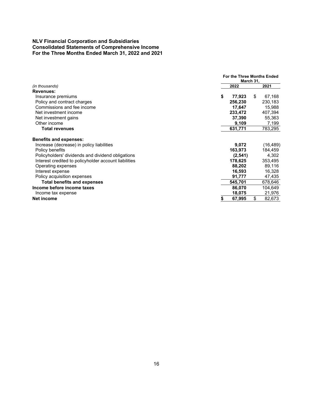# **NLV Financial Corporation and Subsidiaries Consolidated Statements of Comprehensive Income For the Three Months Ended March 31, 2022 and 2021**

|                                                       | For the Three Months Ended<br>March 31, |              |
|-------------------------------------------------------|-----------------------------------------|--------------|
| (in thousands)                                        | 2022                                    | 2021         |
| <b>Revenues:</b>                                      |                                         |              |
| Insurance premiums                                    | \$<br>77,923                            | \$<br>67,168 |
| Policy and contract charges                           | 256,230                                 | 230,183      |
| Commissions and fee income                            | 17,647                                  | 15,988       |
| Net investment income                                 | 233,472                                 | 407,394      |
| Net investment gains                                  | 37,390                                  | 55,363       |
| Other income                                          | 9,109                                   | 7,199        |
| <b>Total revenues</b>                                 | 631,771                                 | 783,295      |
| <b>Benefits and expenses:</b>                         |                                         |              |
| Increase (decrease) in policy liabilities             | 9,072                                   | (16, 489)    |
| Policy benefits                                       | 163,973                                 | 184,459      |
| Policyholders' dividends and dividend obligations     | (2, 541)                                | 4,302        |
| Interest credited to policyholder account liabilities | 178,625                                 | 353,495      |
| Operating expenses                                    | 88,202                                  | 89,116       |
| Interest expense                                      | 16,593                                  | 16,328       |
| Policy acquisition expenses                           | 91,777                                  | 47,435       |
| <b>Total benefits and expenses</b>                    | 545,701                                 | 678,646      |
| Income before income taxes                            | 86,070                                  | 104,649      |
| Income tax expense                                    | 18,075                                  | 21,976       |
| Net income                                            | \$<br>67,995                            | \$<br>82,673 |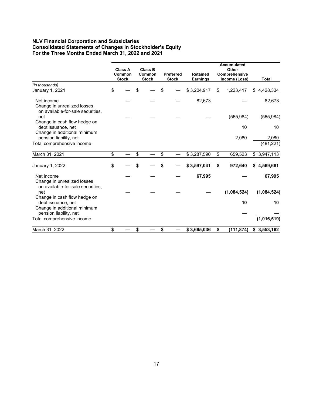# **NLV Financial Corporation and Subsidiaries Consolidated Statements of Changes in Stockholder's Equity For the Three Months Ended March 31, 2022 and 2021**

|                                                                         |              |                |                  |                 | <b>Accumulated</b> |                 |            |
|-------------------------------------------------------------------------|--------------|----------------|------------------|-----------------|--------------------|-----------------|------------|
|                                                                         | Class A      | <b>Class B</b> |                  |                 | Other              |                 |            |
|                                                                         | Common       | Common         | <b>Preferred</b> | <b>Retained</b> | Comprehensive      |                 |            |
|                                                                         | <b>Stock</b> | <b>Stock</b>   | <b>Stock</b>     | <b>Earnings</b> | Income (Loss)      | Total           |            |
| (in thousands)                                                          |              |                |                  |                 |                    |                 |            |
| January 1, 2021                                                         | \$           | \$             | \$               | \$3,204,917     | \$<br>1,223,417    | 4,428,334<br>\$ |            |
| Net income                                                              |              |                |                  | 82,673          |                    |                 | 82,673     |
| Change in unrealized losses<br>on available-for-sale securities,        |              |                |                  |                 |                    |                 |            |
| net                                                                     |              |                |                  |                 | (565, 984)         | (565, 984)      |            |
| Change in cash flow hedge on<br>debt issuance, net                      |              |                |                  |                 | 10                 |                 | 10         |
| Change in additional minimum<br>pension liability, net                  |              |                |                  |                 | 2,080              |                 | 2,080      |
| Total comprehensive income                                              |              |                |                  |                 |                    |                 | (481, 221) |
| March 31, 2021                                                          | \$           | \$             | \$               | \$3,287,590     | \$<br>659,523      | \$3,947,113     |            |
| January 1, 2022                                                         | \$           |                |                  | \$3,597,041     | \$<br>972,640      | \$4,569,681     |            |
| Net income                                                              |              |                |                  | 67,995          |                    |                 | 67,995     |
| Change in unrealized losses<br>on available-for-sale securities,<br>net |              |                |                  |                 | (1,084,524)        | (1,084,524)     |            |
| Change in cash flow hedge on                                            |              |                |                  |                 |                    |                 |            |
| debt issuance, net<br>Change in additional minimum                      |              |                |                  |                 | 10                 |                 | 10         |
| pension liability, net                                                  |              |                |                  |                 |                    |                 |            |
| Total comprehensive income                                              |              |                |                  |                 |                    | (1,016,519)     |            |
| March 31, 2022                                                          | \$           | \$             | \$               | \$3,665,036     | \$<br>(111, 874)   | \$3,553,162     |            |